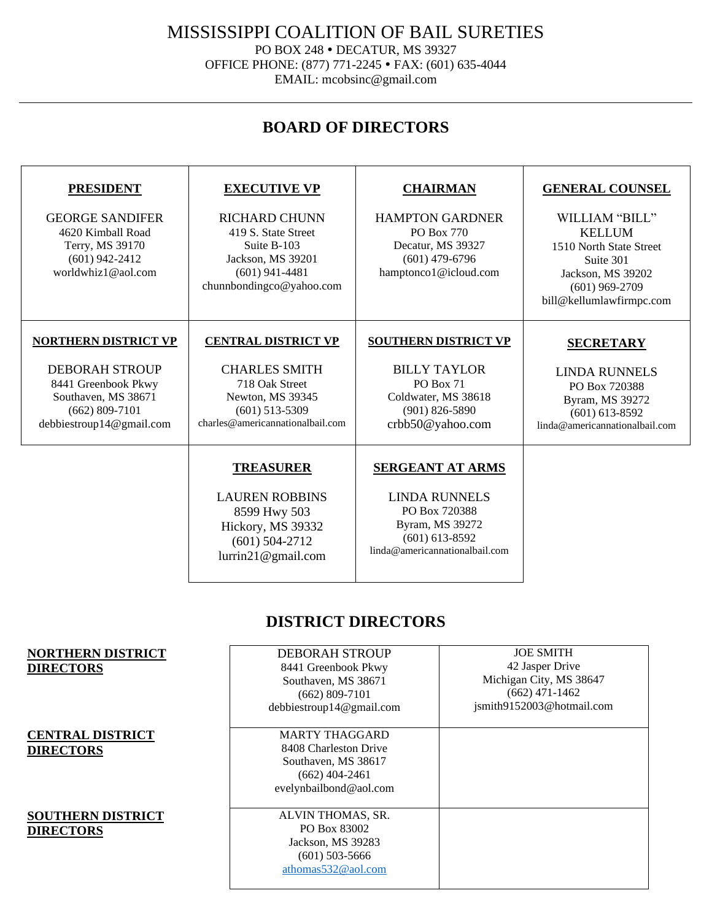MISSISSIPPI COALITION OF BAIL SURETIES

PO BOX 248 . DECATUR, MS 39327

OFFICE PHONE: (877) 771-2245 FAX: (601) 635-4044 EMAIL: mcobsinc@gmail.com

# **BOARD OF DIRECTORS**

| <b>PRESIDENT</b><br><b>GEORGE SANDIFER</b><br>4620 Kimball Road<br>Terry, MS 39170<br>$(601)$ 942-2412<br>worldwhiz1@aol.com                         | <b>EXECUTIVE VP</b><br><b>RICHARD CHUNN</b><br>419 S. State Street<br>Suite B-103<br>Jackson, MS 39201<br>$(601)$ 941-4481<br>chunnbondingco@yahoo.com | <b>CHAIRMAN</b><br><b>HAMPTON GARDNER</b><br>PO Box 770<br>Decatur, MS 39327<br>$(601)$ 479-6796<br>hamptonco1@icloud.com                 | <b>GENERAL COUNSEL</b><br>WILLIAM "BILL"<br><b>KELLUM</b><br>1510 North State Street<br>Suite 301<br>Jackson, MS 39202<br>$(601)$ 969-2709<br>bill@kellumlawfirmpc.com |
|------------------------------------------------------------------------------------------------------------------------------------------------------|--------------------------------------------------------------------------------------------------------------------------------------------------------|-------------------------------------------------------------------------------------------------------------------------------------------|------------------------------------------------------------------------------------------------------------------------------------------------------------------------|
| <b>NORTHERN DISTRICT VP</b><br><b>DEBORAH STROUP</b><br>8441 Greenbook Pkwy<br>Southaven, MS 38671<br>$(662) 809 - 7101$<br>debbiestroup14@gmail.com | <b>CENTRAL DISTRICT VP</b><br><b>CHARLES SMITH</b><br>718 Oak Street<br>Newton, MS 39345<br>$(601)$ 513-5309<br>charles@americannationalbail.com       | <b>SOUTHERN DISTRICT VP</b><br><b>BILLY TAYLOR</b><br><b>PO Box 71</b><br>Coldwater, MS 38618<br>$(901)$ 826-5890<br>crbb50@yahoo.com     | <b>SECRETARY</b><br><b>LINDA RUNNELS</b><br>PO Box 720388<br>Byram, MS 39272<br>$(601)$ 613-8592<br>linda@americannationalbail.com                                     |
|                                                                                                                                                      | <b>TREASURER</b><br><b>LAUREN ROBBINS</b><br>8599 Hwy 503<br>Hickory, MS 39332<br>$(601)$ 504-2712<br>lurrin21@gmail.com                               | <b>SERGEANT AT ARMS</b><br><b>LINDA RUNNELS</b><br>PO Box 720388<br>Byram, MS 39272<br>$(601)$ 613-8592<br>linda@americannationalbail.com |                                                                                                                                                                        |

# **DISTRICT DIRECTORS**

| <b>NORTHERN DISTRICT</b> | <b>DEBORAH STROUP</b>    | <b>JOE SMITH</b>          |
|--------------------------|--------------------------|---------------------------|
| <b>DIRECTORS</b>         | 8441 Greenbook Pkwy      | 42 Jasper Drive           |
|                          | Southaven, MS 38671      | Michigan City, MS 38647   |
|                          | $(662)$ 809-7101         | $(662)$ 471-1462          |
|                          | debbiestroup14@gmail.com | jsmith9152003@hotmail.com |
|                          |                          |                           |
| <b>CENTRAL DISTRICT</b>  | <b>MARTY THAGGARD</b>    |                           |
| <b>DIRECTORS</b>         | 8408 Charleston Drive    |                           |
|                          | Southaven, MS 38617      |                           |
|                          | $(662)$ 404-2461         |                           |
|                          | evelynbailbond@aol.com   |                           |
|                          |                          |                           |
| <b>SOUTHERN DISTRICT</b> | ALVIN THOMAS, SR.        |                           |
| <b>DIRECTORS</b>         | PO Box 83002             |                           |
|                          | Jackson, MS 39283        |                           |
|                          | $(601)$ 503-5666         |                           |
|                          | athomas532@aol.com       |                           |
|                          |                          |                           |